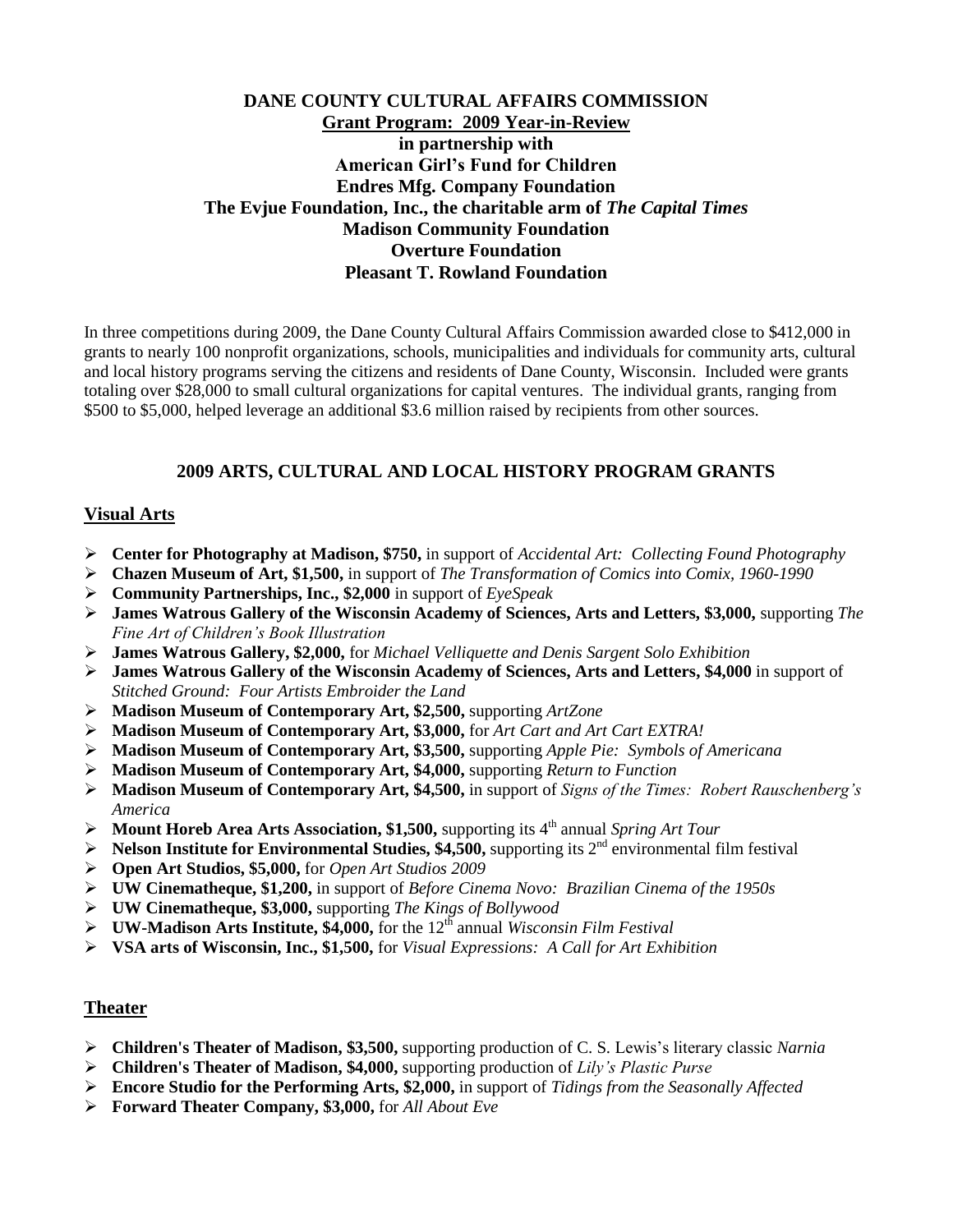## **DANE COUNTY CULTURAL AFFAIRS COMMISSION Grant Program: 2009 Year-in-Review in partnership with American Girl's Fund for Children Endres Mfg. Company Foundation The Evjue Foundation, Inc., the charitable arm of** *The Capital Times* **Madison Community Foundation Overture Foundation Pleasant T. Rowland Foundation**

In three competitions during 2009, the Dane County Cultural Affairs Commission awarded close to \$412,000 in grants to nearly 100 nonprofit organizations, schools, municipalities and individuals for community arts, cultural and local history programs serving the citizens and residents of Dane County, Wisconsin. Included were grants totaling over \$28,000 to small cultural organizations for capital ventures. The individual grants, ranging from \$500 to \$5,000, helped leverage an additional \$3.6 million raised by recipients from other sources.

### **2009 ARTS, CULTURAL AND LOCAL HISTORY PROGRAM GRANTS**

#### **Visual Arts**

- **Center for Photography at Madison, \$750,** in support of *Accidental Art: Collecting Found Photography*
- **Chazen Museum of Art, \$1,500,** in support of *The Transformation of Comics into Comix, 1960-1990*
- **Community Partnerships, Inc., \$2,000** in support of *EyeSpeak*
- **James Watrous Gallery of the Wisconsin Academy of Sciences, Arts and Letters, \$3,000,** supporting *The Fine Art of Children's Book Illustration*
- **James Watrous Gallery, \$2,000,** for *Michael Velliquette and Denis Sargent Solo Exhibition*
- **James Watrous Gallery of the Wisconsin Academy of Sciences, Arts and Letters, \$4,000** in support of *Stitched Ground: Four Artists Embroider the Land*
- **Madison Museum of Contemporary Art, \$2,500,** supporting *ArtZone*
- **Madison Museum of Contemporary Art, \$3,000,** for *Art Cart and Art Cart EXTRA!*
- **Madison Museum of Contemporary Art, \$3,500,** supporting *Apple Pie: Symbols of Americana*
- **Madison Museum of Contemporary Art, \$4,000,** supporting *Return to Function*
- **Madison Museum of Contemporary Art, \$4,500,** in support of *Signs of the Times: Robert Rauschenberg's America*
- → **Mount Horeb Area Arts Association, \$1,500,** supporting its 4<sup>th</sup> annual *Spring Art Tour*
- **Nelson Institute for Environmental Studies, \$4,500,** supporting its  $2^{nd}$  environmental film festival
- **Open Art Studios, \$5,000,** for *Open Art Studios 2009*
- **UW Cinematheque, \$1,200,** in support of *Before Cinema Novo: Brazilian Cinema of the 1950s*
- **UW Cinematheque, \$3,000,** supporting *The Kings of Bollywood*
- **►** UW-Madison Arts Institute, \$4,000, for the 12<sup>th</sup> annual *Wisconsin Film Festival*
- **VSA arts of Wisconsin, Inc., \$1,500,** for *Visual Expressions: A Call for Art Exhibition*

#### **Theater**

- **Children's Theater of Madison, \$3,500,** supporting production of C. S. Lewis's literary classic *Narnia*
- **Children's Theater of Madison, \$4,000,** supporting production of *Lily's Plastic Purse*
- **Encore Studio for the Performing Arts, \$2,000,** in support of *Tidings from the Seasonally Affected*
- **Forward Theater Company, \$3,000,** for *All About Eve*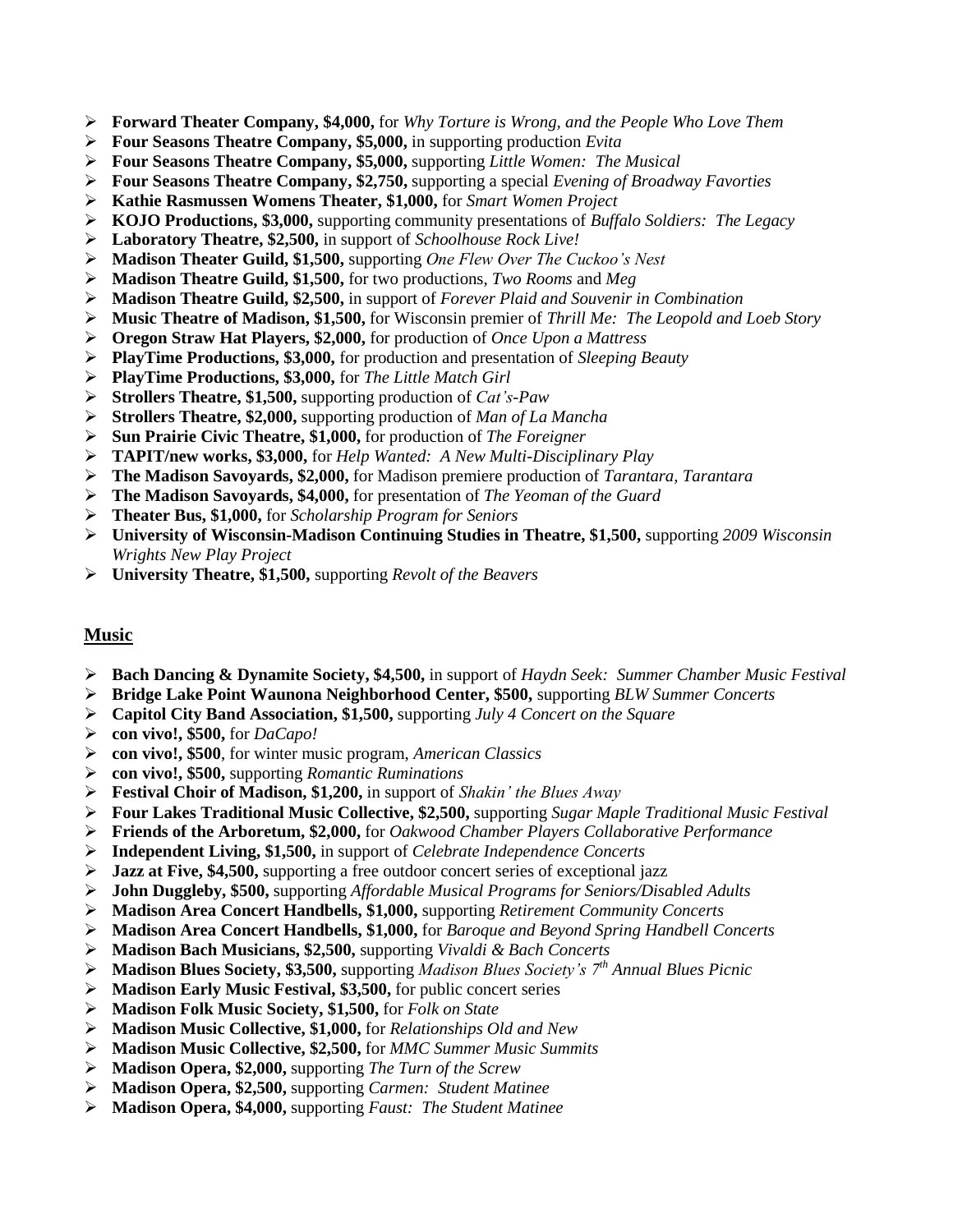- **Forward Theater Company, \$4,000,** for *Why Torture is Wrong, and the People Who Love Them*
- **Four Seasons Theatre Company, \$5,000,** in supporting production *Evita*
- **Four Seasons Theatre Company, \$5,000,** supporting *Little Women: The Musical*
- **Four Seasons Theatre Company, \$2,750,** supporting a special *Evening of Broadway Favorties*
- **Kathie Rasmussen Womens Theater, \$1,000,** for *Smart Women Project*
- **KOJO Productions, \$3,000,** supporting community presentations of *Buffalo Soldiers: The Legacy*
- **Laboratory Theatre, \$2,500,** in support of *Schoolhouse Rock Live!*
- **Madison Theater Guild, \$1,500,** supporting *One Flew Over The Cuckoo's Nest*
- **Madison Theatre Guild, \$1,500,** for two productions, *Two Rooms* and *Meg*
- **Madison Theatre Guild, \$2,500,** in support of *Forever Plaid and Souvenir in Combination*
- **Music Theatre of Madison, \$1,500,** for Wisconsin premier of *Thrill Me: The Leopold and Loeb Story*
- **Oregon Straw Hat Players, \$2,000,** for production of *Once Upon a Mattress*
- **PlayTime Productions, \$3,000,** for production and presentation of *Sleeping Beauty*
- **PlayTime Productions, \$3,000,** for *The Little Match Girl*
- **Strollers Theatre, \$1,500,** supporting production of *Cat's-Paw*
- **Strollers Theatre, \$2,000,** supporting production of *Man of La Mancha*
- **Sun Prairie Civic Theatre, \$1,000,** for production of *The Foreigner*
- **TAPIT/new works, \$3,000,** for *Help Wanted: A New Multi-Disciplinary Play*
- **The Madison Savoyards, \$2,000,** for Madison premiere production of *Tarantara, Tarantara*
- **The Madison Savoyards, \$4,000,** for presentation of *The Yeoman of the Guard*
- **Theater Bus, \$1,000,** for *Scholarship Program for Seniors*
- **University of Wisconsin-Madison Continuing Studies in Theatre, \$1,500,** supporting *2009 Wisconsin Wrights New Play Project*
- **University Theatre, \$1,500,** supporting *Revolt of the Beavers*

#### **Music**

- **Bach Dancing & Dynamite Society, \$4,500,** in support of *Haydn Seek: Summer Chamber Music Festival*
- **Bridge Lake Point Waunona Neighborhood Center, \$500,** supporting *BLW Summer Concerts*
- **Capitol City Band Association, \$1,500,** supporting *July 4 Concert on the Square*
- **con vivo!, \$500,** for *DaCapo!*
- **con vivo!, \$500**, for winter music program, *American Classics*
- **con vivo!, \$500,** supporting *Romantic Ruminations*
- **Festival Choir of Madison, \$1,200,** in support of *Shakin' the Blues Away*
- **Four Lakes Traditional Music Collective, \$2,500,** supporting *Sugar Maple Traditional Music Festival*
- **Friends of the Arboretum, \$2,000,** for *Oakwood Chamber Players Collaborative Performance*
- **Independent Living, \$1,500,** in support of *Celebrate Independence Concerts*
- **Jazz at Five, \$4,500,** supporting a free outdoor concert series of exceptional jazz
- **John Duggleby, \$500,** supporting *Affordable Musical Programs for Seniors/Disabled Adults*
- **Madison Area Concert Handbells, \$1,000,** supporting *Retirement Community Concerts*
- **Madison Area Concert Handbells, \$1,000,** for *Baroque and Beyond Spring Handbell Concerts*
- **Madison Bach Musicians, \$2,500,** supporting *Vivaldi & Bach Concerts*
- **Madison Blues Society, \$3,500,** supporting *Madison Blues Society's 7th Annual Blues Picnic*
- **Madison Early Music Festival, \$3,500,** for public concert series
- **Madison Folk Music Society, \$1,500,** for *Folk on State*
- **Madison Music Collective, \$1,000,** for *Relationships Old and New*
- **Madison Music Collective, \$2,500,** for *MMC Summer Music Summits*
- **Madison Opera, \$2,000,** supporting *The Turn of the Screw*
- **Madison Opera, \$2,500,** supporting *Carmen: Student Matinee*
- **Madison Opera, \$4,000,** supporting *Faust: The Student Matinee*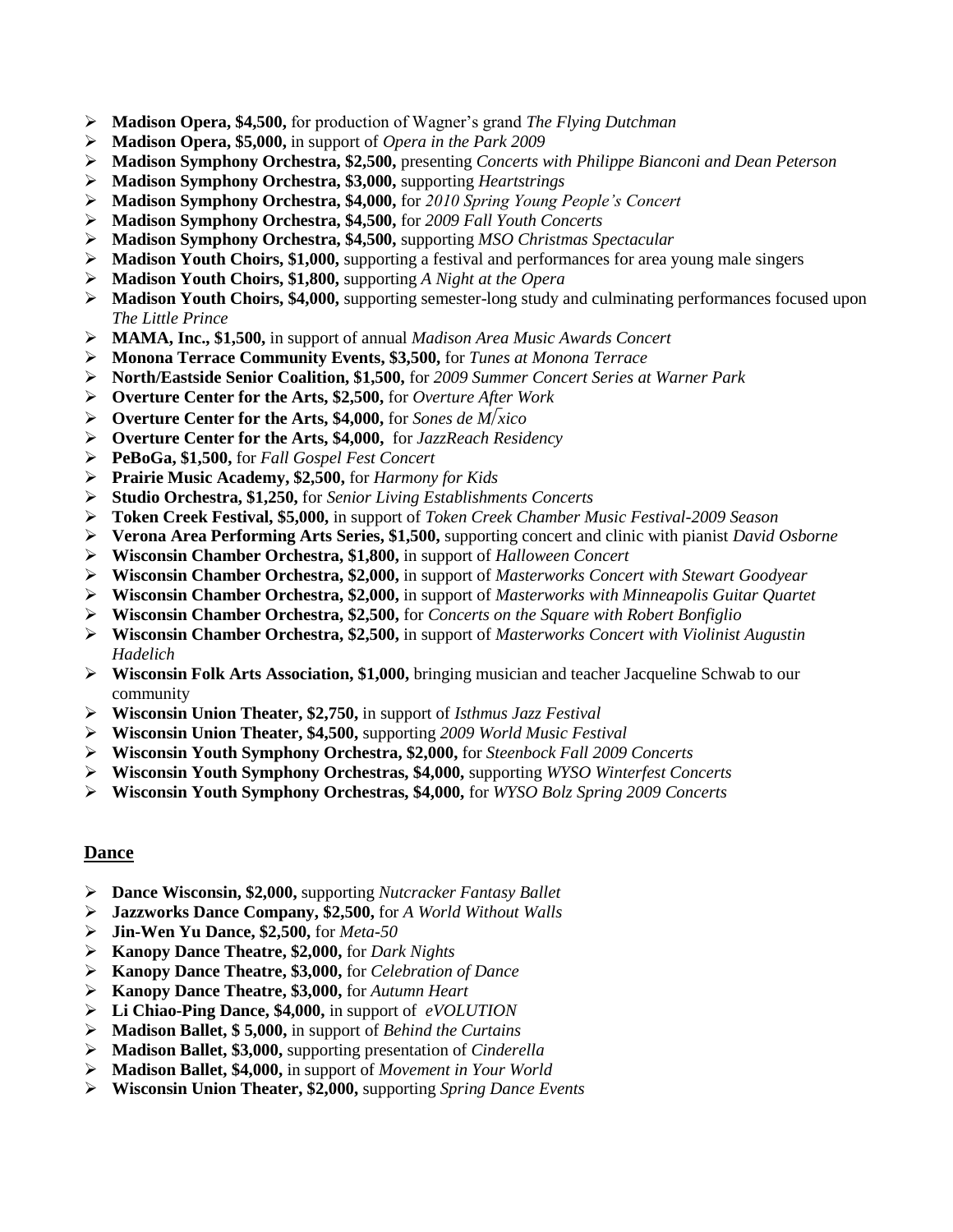- **Madison Opera, \$4,500,** for production of Wagner's grand *The Flying Dutchman*
- **Madison Opera, \$5,000,** in support of *Opera in the Park 2009*
- **Madison Symphony Orchestra, \$2,500,** presenting *Concerts with Philippe Bianconi and Dean Peterson*
- **Madison Symphony Orchestra, \$3,000,** supporting *Heartstrings*
- **Madison Symphony Orchestra, \$4,000,** for *2010 Spring Young People's Concert*
- **Madison Symphony Orchestra, \$4,500,** for *2009 Fall Youth Concerts*
- **Madison Symphony Orchestra, \$4,500,** supporting *MSO Christmas Spectacular*
- **Madison Youth Choirs, \$1,000,** supporting a festival and performances for area young male singers
- **Madison Youth Choirs, \$1,800,** supporting *A Night at the Opera*
- **Madison Youth Choirs, \$4,000,** supporting semester-long study and culminating performances focused upon *The Little Prince*
- **MAMA, Inc., \$1,500,** in support of annual *Madison Area Music Awards Concert*
- **Monona Terrace Community Events, \$3,500,** for *Tunes at Monona Terrace*
- **North/Eastside Senior Coalition, \$1,500,** for *2009 Summer Concert Series at Warner Park*
- **Overture Center for the Arts, \$2,500,** for *Overture After Work*
- **Overture Center for the Arts, \$4,000,** for *Sones de Mxico*
- **Overture Center for the Arts, \$4,000,** for *JazzReach Residency*
- **PeBoGa, \$1,500,** for *Fall Gospel Fest Concert*
- **Prairie Music Academy, \$2,500,** for *Harmony for Kids*
- **Studio Orchestra, \$1,250,** for *Senior Living Establishments Concerts*
- **Token Creek Festival, \$5,000,** in support of *Token Creek Chamber Music Festival-2009 Season*
- **Verona Area Performing Arts Series, \$1,500,** supporting concert and clinic with pianist *David Osborne*
- **Wisconsin Chamber Orchestra, \$1,800,** in support of *Halloween Concert*
- **Wisconsin Chamber Orchestra, \$2,000,** in support of *Masterworks Concert with Stewart Goodyear*
- **Wisconsin Chamber Orchestra, \$2,000,** in support of *Masterworks with Minneapolis Guitar Quartet*
- **Wisconsin Chamber Orchestra, \$2,500,** for *Concerts on the Square with Robert Bonfiglio*
- **Wisconsin Chamber Orchestra, \$2,500,** in support of *Masterworks Concert with Violinist Augustin Hadelich*
- **Wisconsin Folk Arts Association, \$1,000,** bringing musician and teacher Jacqueline Schwab to our community
- **Wisconsin Union Theater, \$2,750,** in support of *Isthmus Jazz Festival*
- **Wisconsin Union Theater, \$4,500,** supporting *2009 World Music Festival*
- **Wisconsin Youth Symphony Orchestra, \$2,000,** for *Steenbock Fall 2009 Concerts*
- **Wisconsin Youth Symphony Orchestras, \$4,000,** supporting *WYSO Winterfest Concerts*
- **Wisconsin Youth Symphony Orchestras, \$4,000,** for *WYSO Bolz Spring 2009 Concerts*

#### **Dance**

- **Dance Wisconsin, \$2,000,** supporting *Nutcracker Fantasy Ballet*
- **Jazzworks Dance Company, \$2,500,** for *A World Without Walls*
- **Jin-Wen Yu Dance, \$2,500,** for *Meta-50*
- **Kanopy Dance Theatre, \$2,000,** for *Dark Nights*
- **Kanopy Dance Theatre, \$3,000,** for *Celebration of Dance*
- **Kanopy Dance Theatre, \$3,000,** for *Autumn Heart*
- **Li Chiao-Ping Dance, \$4,000,** in support of *eVOLUTION*
- **Madison Ballet, \$ 5,000,** in support of *Behind the Curtains*
- **Madison Ballet, \$3,000,** supporting presentation of *Cinderella*
- **Madison Ballet, \$4,000,** in support of *Movement in Your World*
- **Wisconsin Union Theater, \$2,000,** supporting *Spring Dance Events*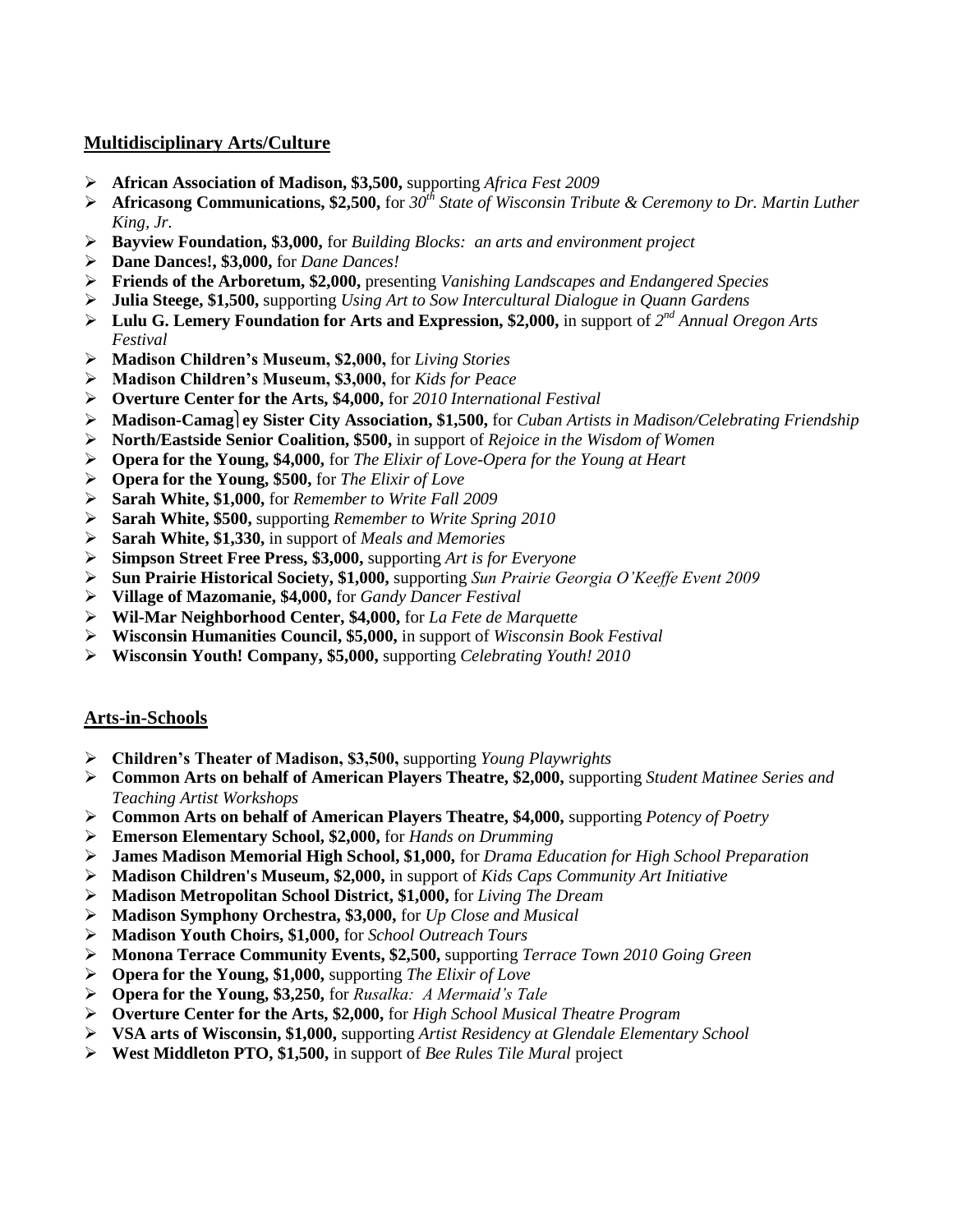### **Multidisciplinary Arts/Culture**

- **African Association of Madison, \$3,500,** supporting *Africa Fest 2009*
- **Africasong Communications, \$2,500,** for *30th State of Wisconsin Tribute & Ceremony to Dr. Martin Luther King, Jr.*
- **Bayview Foundation, \$3,000,** for *Building Blocks: an arts and environment project*
- **Dane Dances!, \$3,000,** for *Dane Dances!*
- **Friends of the Arboretum, \$2,000,** presenting *Vanishing Landscapes and Endangered Species*
- **Julia Steege, \$1,500,** supporting *Using Art to Sow Intercultural Dialogue in Quann Gardens*
- ▶ Lulu G. Lemery Foundation for Arts and Expression, \$2,000, in support of 2<sup>nd</sup> Annual Oregon Arts *Festival*
- **Madison Children's Museum, \$2,000,** for *Living Stories*
- **Madison Children's Museum, \$3,000,** for *Kids for Peace*
- **Overture Center for the Arts, \$4,000,** for *2010 International Festival*
- **Madison-Camagey Sister City Association, \$1,500,** for *Cuban Artists in Madison/Celebrating Friendship*
- **North/Eastside Senior Coalition, \$500,** in support of *Rejoice in the Wisdom of Women*
- **Opera for the Young, \$4,000,** for *The Elixir of Love-Opera for the Young at Heart*
- **Opera for the Young, \$500,** for *The Elixir of Love*
- **Sarah White, \$1,000,** for *Remember to Write Fall 2009*
- **Sarah White, \$500,** supporting *Remember to Write Spring 2010*
- **Sarah White, \$1,330,** in support of *Meals and Memories*
- **Simpson Street Free Press, \$3,000,** supporting *Art is for Everyone*
- **Sun Prairie Historical Society, \$1,000,** supporting *Sun Prairie Georgia O'Keeffe Event 2009*
- **Village of Mazomanie, \$4,000,** for *Gandy Dancer Festival*
- **Wil-Mar Neighborhood Center, \$4,000,** for *La Fete de Marquette*
- **Wisconsin Humanities Council, \$5,000,** in support of *Wisconsin Book Festival*
- **Wisconsin Youth! Company, \$5,000,** supporting *Celebrating Youth! 2010*

### **Arts-in-Schools**

- **Children's Theater of Madison, \$3,500,** supporting *Young Playwrights*
- **Common Arts on behalf of American Players Theatre, \$2,000,** supporting *Student Matinee Series and Teaching Artist Workshops*
- **Common Arts on behalf of American Players Theatre, \$4,000,** supporting *Potency of Poetry*
- **Emerson Elementary School, \$2,000,** for *Hands on Drumming*
- **James Madison Memorial High School, \$1,000,** for *Drama Education for High School Preparation*
- **Madison Children's Museum, \$2,000,** in support of *Kids Caps Community Art Initiative*
- **Madison Metropolitan School District, \$1,000,** for *Living The Dream*
- **Madison Symphony Orchestra, \$3,000,** for *Up Close and Musical*
- **Madison Youth Choirs, \$1,000,** for *School Outreach Tours*
- **Monona Terrace Community Events, \$2,500,** supporting *Terrace Town 2010 Going Green*
- **Opera for the Young, \$1,000,** supporting *The Elixir of Love*
- **Opera for the Young, \$3,250,** for *Rusalka: A Mermaid's Tale*
- **Overture Center for the Arts, \$2,000,** for *High School Musical Theatre Program*
- **VSA arts of Wisconsin, \$1,000,** supporting *Artist Residency at Glendale Elementary School*
- **West Middleton PTO, \$1,500,** in support of *Bee Rules Tile Mural* project